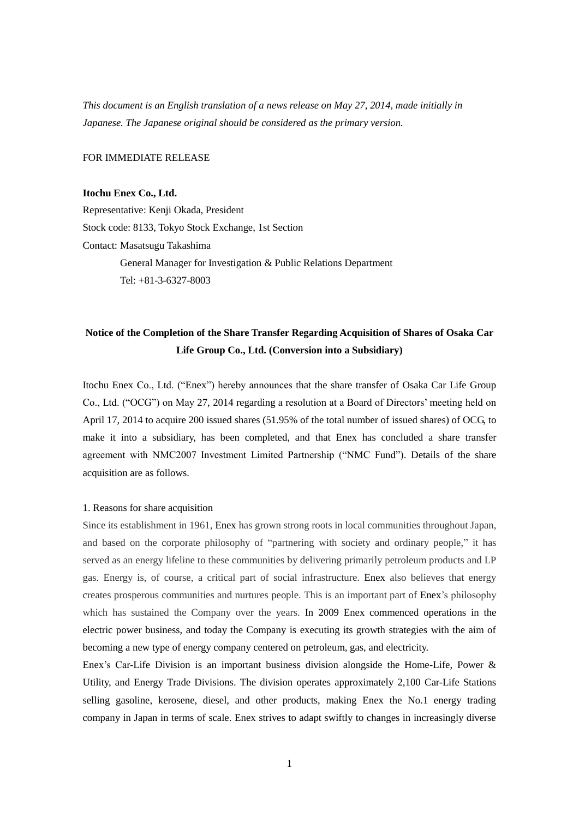*This document is an English translation of a news release on May 27, 2014, made initially in Japanese. The Japanese original should be considered as the primary version.*

FOR IMMEDIATE RELEASE

#### **Itochu Enex Co., Ltd.**

Representative: Kenji Okada, President Stock code: 8133, Tokyo Stock Exchange, 1st Section Contact: Masatsugu Takashima General Manager for Investigation & Public Relations Department Tel: +81-3-6327-8003

# **Notice of the Completion of the Share Transfer Regarding Acquisition of Shares of Osaka Car Life Group Co., Ltd. (Conversion into a Subsidiary)**

Itochu Enex Co., Ltd. ("Enex") hereby announces that the share transfer of Osaka Car Life Group Co., Ltd. ("OCG") on May 27, 2014 regarding a resolution at a Board of Directors' meeting held on April 17, 2014 to acquire 200 issued shares (51.95% of the total number of issued shares) of OCG, to make it into a subsidiary, has been completed, and that Enex has concluded a share transfer agreement with NMC2007 Investment Limited Partnership ("NMC Fund"). Details of the share acquisition are as follows.

#### 1. Reasons for share acquisition

Since its establishment in 1961, Enex has grown strong roots in local communities throughout Japan, and based on the corporate philosophy of "partnering with society and ordinary people," it has served as an energy lifeline to these communities by delivering primarily petroleum products and LP gas. Energy is, of course, a critical part of social infrastructure. Enex also believes that energy creates prosperous communities and nurtures people. This is an important part of Enex's philosophy which has sustained the Company over the years. In 2009 Enex commenced operations in the electric power business, and today the Company is executing its growth strategies with the aim of becoming a new type of energy company centered on petroleum, gas, and electricity.

Enex's Car-Life Division is an important business division alongside the Home-Life, Power & Utility, and Energy Trade Divisions. The division operates approximately 2,100 Car-Life Stations selling gasoline, kerosene, diesel, and other products, making Enex the No.1 energy trading company in Japan in terms of scale. Enex strives to adapt swiftly to changes in increasingly diverse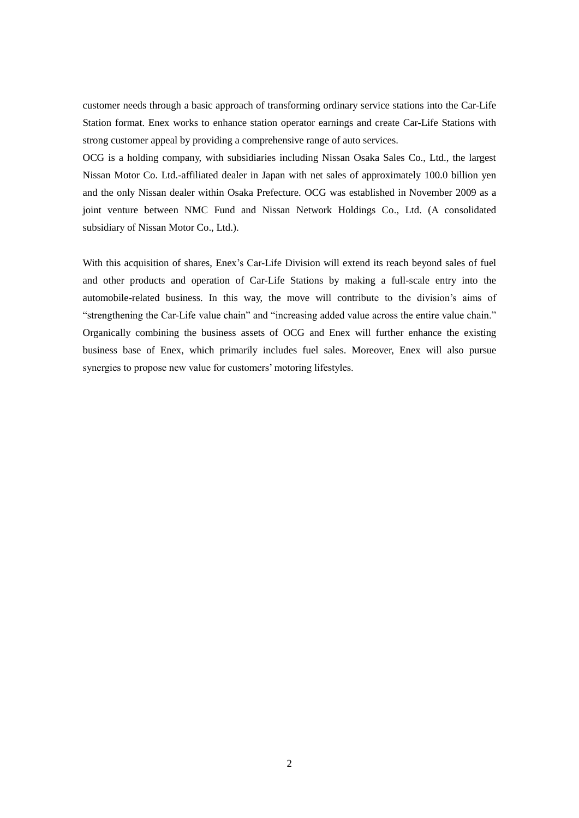customer needs through a basic approach of transforming ordinary service stations into the Car-Life Station format. Enex works to enhance station operator earnings and create Car-Life Stations with strong customer appeal by providing a comprehensive range of auto services.

OCG is a holding company, with subsidiaries including Nissan Osaka Sales Co., Ltd., the largest Nissan Motor Co. Ltd.-affiliated dealer in Japan with net sales of approximately 100.0 billion yen and the only Nissan dealer within Osaka Prefecture. OCG was established in November 2009 as a joint venture between NMC Fund and Nissan Network Holdings Co., Ltd. (A consolidated subsidiary of Nissan Motor Co., Ltd.).

With this acquisition of shares, Enex's Car-Life Division will extend its reach beyond sales of fuel and other products and operation of Car-Life Stations by making a full-scale entry into the automobile-related business. In this way, the move will contribute to the division's aims of "strengthening the Car-Life value chain" and "increasing added value across the entire value chain." Organically combining the business assets of OCG and Enex will further enhance the existing business base of Enex, which primarily includes fuel sales. Moreover, Enex will also pursue synergies to propose new value for customers' motoring lifestyles.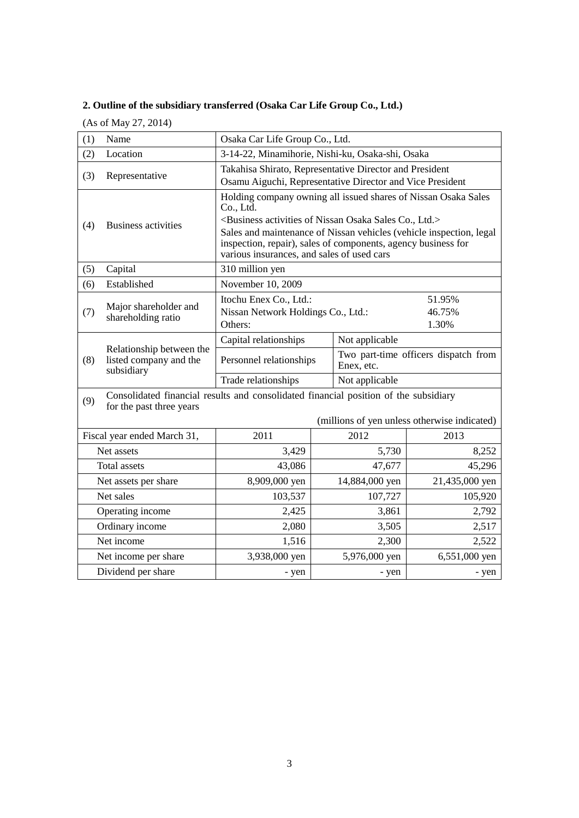# **2. Outline of the subsidiary transferred (Osaka Car Life Group Co., Ltd.)**

(As of May 27, 2014)

| (1)                  | Name                                                             | Osaka Car Life Group Co., Ltd.                                                                                                                                                                                                                                                                                                                                |  |                                                    |                |
|----------------------|------------------------------------------------------------------|---------------------------------------------------------------------------------------------------------------------------------------------------------------------------------------------------------------------------------------------------------------------------------------------------------------------------------------------------------------|--|----------------------------------------------------|----------------|
| (2)                  | Location                                                         | 3-14-22, Minamihorie, Nishi-ku, Osaka-shi, Osaka                                                                                                                                                                                                                                                                                                              |  |                                                    |                |
| (3)                  | Representative                                                   | Takahisa Shirato, Representative Director and President<br>Osamu Aiguchi, Representative Director and Vice President                                                                                                                                                                                                                                          |  |                                                    |                |
| (4)                  | <b>Business activities</b>                                       | Holding company owning all issued shares of Nissan Osaka Sales<br>Co., Ltd.<br><business activities="" co.,="" ltd.="" nissan="" of="" osaka="" sales=""><br/>Sales and maintenance of Nissan vehicles (vehicle inspection, legal<br/>inspection, repair), sales of components, agency business for<br/>various insurances, and sales of used cars</business> |  |                                                    |                |
| (5)                  | Capital                                                          | 310 million yen                                                                                                                                                                                                                                                                                                                                               |  |                                                    |                |
| (6)                  | Established                                                      | November 10, 2009                                                                                                                                                                                                                                                                                                                                             |  |                                                    |                |
| (7)                  | Major shareholder and<br>shareholding ratio                      | Itochu Enex Co., Ltd.:<br>51.95%<br>Nissan Network Holdings Co., Ltd.:<br>46.75%<br>Others:<br>1.30%                                                                                                                                                                                                                                                          |  |                                                    |                |
|                      | Relationship between the<br>listed company and the<br>subsidiary | Capital relationships                                                                                                                                                                                                                                                                                                                                         |  | Not applicable                                     |                |
| (8)                  |                                                                  | Personnel relationships                                                                                                                                                                                                                                                                                                                                       |  | Two part-time officers dispatch from<br>Enex, etc. |                |
|                      |                                                                  | Trade relationships<br>Not applicable                                                                                                                                                                                                                                                                                                                         |  |                                                    |                |
| (9)                  | for the past three years                                         | Consolidated financial results and consolidated financial position of the subsidiary<br>(millions of yen unless otherwise indicated)                                                                                                                                                                                                                          |  |                                                    |                |
|                      | Fiscal year ended March 31,                                      | 2011                                                                                                                                                                                                                                                                                                                                                          |  | 2012                                               | 2013           |
|                      | Net assets                                                       | 3,429                                                                                                                                                                                                                                                                                                                                                         |  | 5,730                                              | 8,252          |
|                      | Total assets                                                     | 43,086                                                                                                                                                                                                                                                                                                                                                        |  | 47,677                                             | 45,296         |
| Net assets per share |                                                                  | 8,909,000 yen                                                                                                                                                                                                                                                                                                                                                 |  | 14,884,000 yen                                     | 21,435,000 yen |
| Net sales            |                                                                  | 103,537                                                                                                                                                                                                                                                                                                                                                       |  | 107,727                                            | 105,920        |
| Operating income     |                                                                  | 2,425                                                                                                                                                                                                                                                                                                                                                         |  | 3,861                                              | 2,792          |
| Ordinary income      |                                                                  | 2,080                                                                                                                                                                                                                                                                                                                                                         |  | 3,505                                              | 2,517          |
| Net income           |                                                                  | 1,516                                                                                                                                                                                                                                                                                                                                                         |  | 2,300                                              | 2,522          |
| Net income per share |                                                                  | 3,938,000 yen                                                                                                                                                                                                                                                                                                                                                 |  | 5,976,000 yen                                      | 6,551,000 yen  |
|                      | Dividend per share                                               | - yen                                                                                                                                                                                                                                                                                                                                                         |  | - yen                                              | - yen          |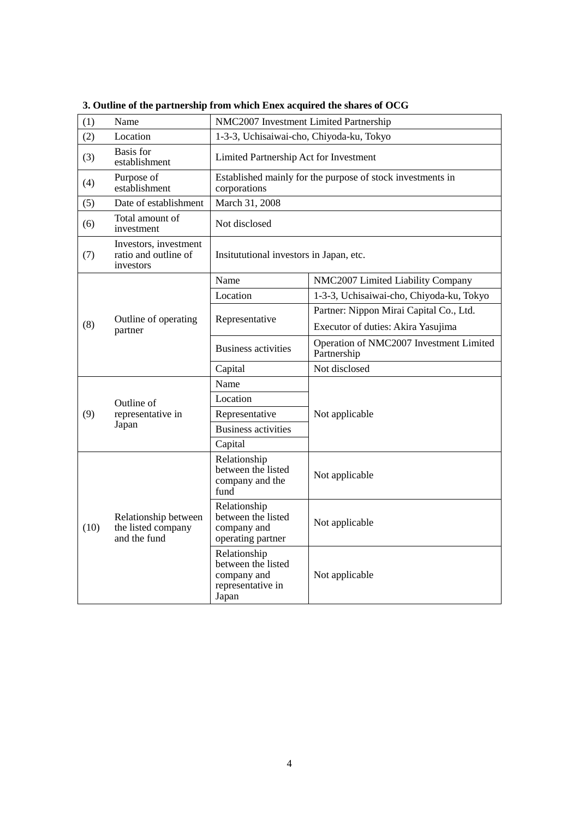| (1)  | Name                                                       | NMC2007 Investment Limited Partnership                                          |                                                        |  |  |
|------|------------------------------------------------------------|---------------------------------------------------------------------------------|--------------------------------------------------------|--|--|
| (2)  | Location                                                   | 1-3-3, Uchisaiwai-cho, Chiyoda-ku, Tokyo                                        |                                                        |  |  |
| (3)  | Basis for<br>establishment                                 | Limited Partnership Act for Investment                                          |                                                        |  |  |
| (4)  | Purpose of<br>establishment                                | Established mainly for the purpose of stock investments in<br>corporations      |                                                        |  |  |
| (5)  | Date of establishment                                      | March 31, 2008                                                                  |                                                        |  |  |
| (6)  | Total amount of<br>investment                              | Not disclosed                                                                   |                                                        |  |  |
| (7)  | Investors, investment<br>ratio and outline of<br>investors | Insitututional investors in Japan, etc.                                         |                                                        |  |  |
|      |                                                            | Name                                                                            | NMC2007 Limited Liability Company                      |  |  |
|      | Outline of operating<br>partner                            | Location                                                                        | 1-3-3, Uchisaiwai-cho, Chiyoda-ku, Tokyo               |  |  |
|      |                                                            | Representative                                                                  | Partner: Nippon Mirai Capital Co., Ltd.                |  |  |
| (8)  |                                                            |                                                                                 | Executor of duties: Akira Yasujima                     |  |  |
|      |                                                            | <b>Business activities</b>                                                      | Operation of NMC2007 Investment Limited<br>Partnership |  |  |
|      |                                                            | Capital                                                                         | Not disclosed                                          |  |  |
|      | Outline of<br>representative in<br>Japan                   | Name                                                                            |                                                        |  |  |
|      |                                                            | Location                                                                        |                                                        |  |  |
| (9)  |                                                            | Representative                                                                  | Not applicable                                         |  |  |
|      |                                                            | <b>Business activities</b>                                                      |                                                        |  |  |
|      |                                                            | Capital                                                                         |                                                        |  |  |
|      | Relationship between<br>the listed company<br>and the fund | Relationship<br>between the listed<br>company and the<br>fund                   | Not applicable                                         |  |  |
| (10) |                                                            | Relationship<br>between the listed<br>company and<br>operating partner          | Not applicable                                         |  |  |
|      |                                                            | Relationship<br>between the listed<br>company and<br>representative in<br>Japan | Not applicable                                         |  |  |

**3. Outline of the partnership from which Enex acquired the shares of OCG**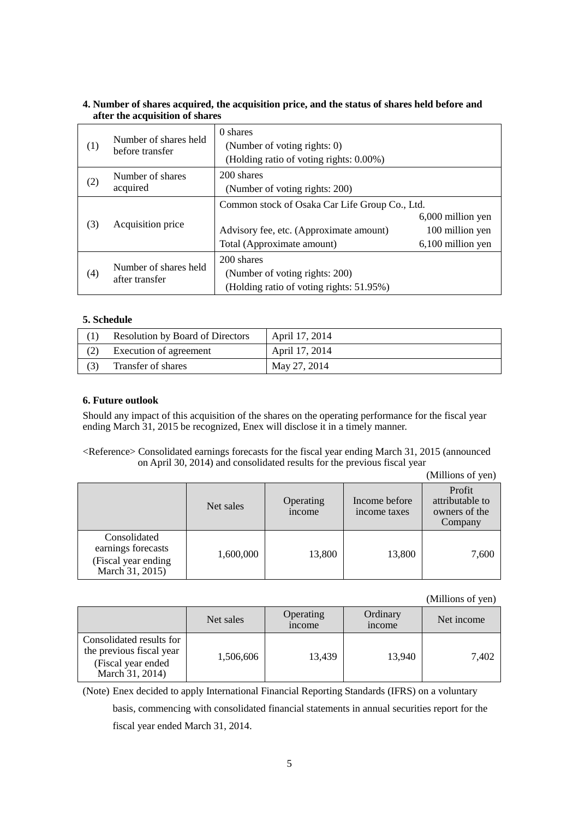### **4. Number of shares acquired, the acquisition price, and the status of shares held before and after the acquisition of shares**

| (1) | Number of shares held<br>before transfer | 0 shares<br>(Number of voting rights: 0)<br>(Holding ratio of voting rights: 0.00%)                                     |                                                           |
|-----|------------------------------------------|-------------------------------------------------------------------------------------------------------------------------|-----------------------------------------------------------|
| (2) | Number of shares<br>acquired             | 200 shares<br>(Number of voting rights: 200)                                                                            |                                                           |
| (3) | Acquisition price                        | Common stock of Osaka Car Life Group Co., Ltd.<br>Advisory fee, etc. (Approximate amount)<br>Total (Approximate amount) | 6,000 million yen<br>100 million yen<br>6,100 million yen |
| (4) | Number of shares held<br>after transfer  | 200 shares<br>(Number of voting rights: 200)<br>(Holding ratio of voting rights: 51.95%)                                |                                                           |

#### **5. Schedule**

| <b>Resolution by Board of Directors</b> | April 17, 2014 |
|-----------------------------------------|----------------|
| Execution of agreement                  | April 17, 2014 |
| Transfer of shares                      | May 27, 2014   |

#### **6. Future outlook**

Should any impact of this acquisition of the shares on the operating performance for the fiscal year ending March 31, 2015 be recognized, Enex will disclose it in a timely manner.

## <Reference> Consolidated earnings forecasts for the fiscal year ending March 31, 2015 (announced on April 30, 2014) and consolidated results for the previous fiscal year

(Millions of yen)

|                                                                              | Net sales | Operating<br>income | Income before<br>income taxes | Profit<br>attributable to<br>owners of the<br>Company |
|------------------------------------------------------------------------------|-----------|---------------------|-------------------------------|-------------------------------------------------------|
| Consolidated<br>earnings forecasts<br>(Fiscal year ending<br>March 31, 2015) | 1,600,000 | 13,800              | 13,800                        | 7,600                                                 |

(Millions of yen)

|                                                                                               | Net sales | Operating<br><i>n</i> come | Ordinary<br><i>n</i> come | Net income |
|-----------------------------------------------------------------------------------------------|-----------|----------------------------|---------------------------|------------|
| Consolidated results for<br>the previous fiscal year<br>(Fiscal year ended<br>March 31, 2014) | 1,506,606 | 13,439                     | 13.940                    | 7,402      |

(Note) Enex decided to apply International Financial Reporting Standards (IFRS) on a voluntary basis, commencing with consolidated financial statements in annual securities report for the fiscal year ended March 31, 2014.